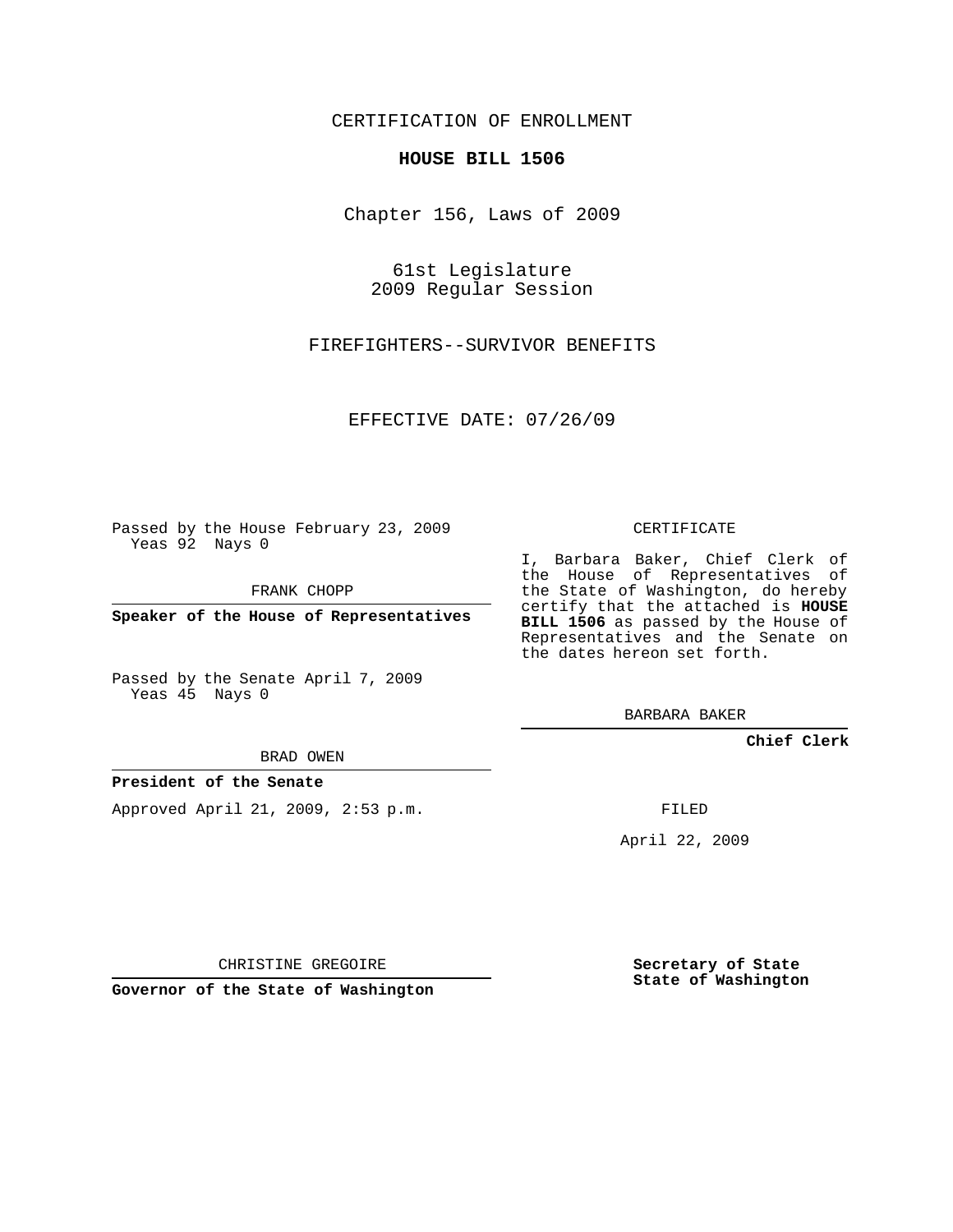### CERTIFICATION OF ENROLLMENT

#### **HOUSE BILL 1506**

Chapter 156, Laws of 2009

61st Legislature 2009 Regular Session

FIREFIGHTERS--SURVIVOR BENEFITS

EFFECTIVE DATE: 07/26/09

Passed by the House February 23, 2009 Yeas 92 Nays 0

FRANK CHOPP

**Speaker of the House of Representatives**

Passed by the Senate April 7, 2009 Yeas 45 Nays 0

BRAD OWEN

#### **President of the Senate**

Approved April 21, 2009, 2:53 p.m.

CERTIFICATE

I, Barbara Baker, Chief Clerk of the House of Representatives of the State of Washington, do hereby certify that the attached is **HOUSE BILL 1506** as passed by the House of Representatives and the Senate on the dates hereon set forth.

BARBARA BAKER

**Chief Clerk**

FILED

April 22, 2009

CHRISTINE GREGOIRE

**Governor of the State of Washington**

**Secretary of State State of Washington**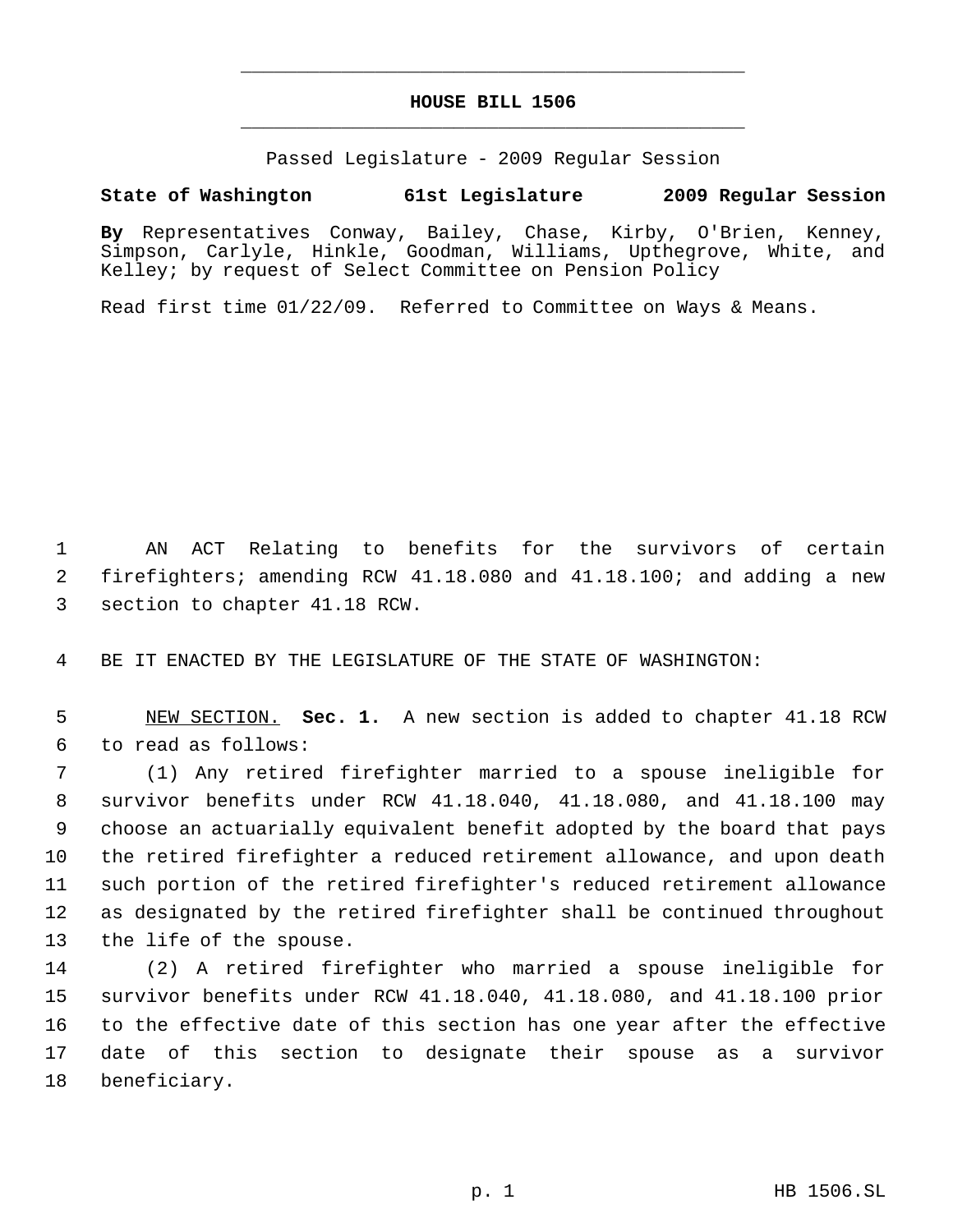# **HOUSE BILL 1506** \_\_\_\_\_\_\_\_\_\_\_\_\_\_\_\_\_\_\_\_\_\_\_\_\_\_\_\_\_\_\_\_\_\_\_\_\_\_\_\_\_\_\_\_\_

\_\_\_\_\_\_\_\_\_\_\_\_\_\_\_\_\_\_\_\_\_\_\_\_\_\_\_\_\_\_\_\_\_\_\_\_\_\_\_\_\_\_\_\_\_

Passed Legislature - 2009 Regular Session

## **State of Washington 61st Legislature 2009 Regular Session**

**By** Representatives Conway, Bailey, Chase, Kirby, O'Brien, Kenney, Simpson, Carlyle, Hinkle, Goodman, Williams, Upthegrove, White, and Kelley; by request of Select Committee on Pension Policy

Read first time 01/22/09. Referred to Committee on Ways & Means.

 AN ACT Relating to benefits for the survivors of certain firefighters; amending RCW 41.18.080 and 41.18.100; and adding a new section to chapter 41.18 RCW.

BE IT ENACTED BY THE LEGISLATURE OF THE STATE OF WASHINGTON:

 NEW SECTION. **Sec. 1.** A new section is added to chapter 41.18 RCW to read as follows:

 (1) Any retired firefighter married to a spouse ineligible for survivor benefits under RCW 41.18.040, 41.18.080, and 41.18.100 may choose an actuarially equivalent benefit adopted by the board that pays the retired firefighter a reduced retirement allowance, and upon death such portion of the retired firefighter's reduced retirement allowance as designated by the retired firefighter shall be continued throughout the life of the spouse.

 (2) A retired firefighter who married a spouse ineligible for survivor benefits under RCW 41.18.040, 41.18.080, and 41.18.100 prior to the effective date of this section has one year after the effective date of this section to designate their spouse as a survivor beneficiary.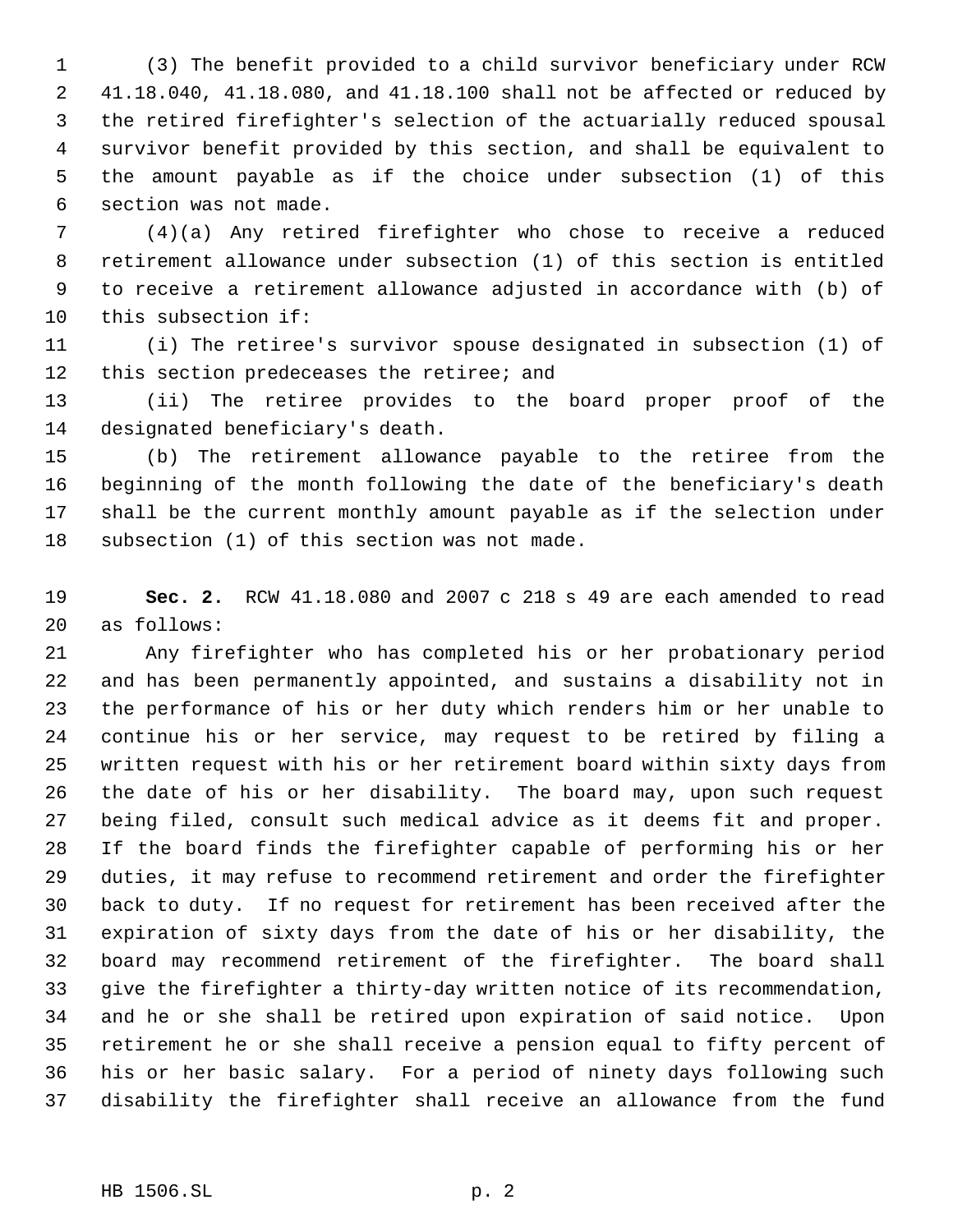(3) The benefit provided to a child survivor beneficiary under RCW 41.18.040, 41.18.080, and 41.18.100 shall not be affected or reduced by the retired firefighter's selection of the actuarially reduced spousal survivor benefit provided by this section, and shall be equivalent to the amount payable as if the choice under subsection (1) of this section was not made.

 (4)(a) Any retired firefighter who chose to receive a reduced retirement allowance under subsection (1) of this section is entitled to receive a retirement allowance adjusted in accordance with (b) of this subsection if:

 (i) The retiree's survivor spouse designated in subsection (1) of 12 this section predeceases the retiree; and

 (ii) The retiree provides to the board proper proof of the designated beneficiary's death.

 (b) The retirement allowance payable to the retiree from the beginning of the month following the date of the beneficiary's death shall be the current monthly amount payable as if the selection under subsection (1) of this section was not made.

 **Sec. 2.** RCW 41.18.080 and 2007 c 218 s 49 are each amended to read as follows:

 Any firefighter who has completed his or her probationary period and has been permanently appointed, and sustains a disability not in the performance of his or her duty which renders him or her unable to continue his or her service, may request to be retired by filing a written request with his or her retirement board within sixty days from the date of his or her disability. The board may, upon such request being filed, consult such medical advice as it deems fit and proper. If the board finds the firefighter capable of performing his or her duties, it may refuse to recommend retirement and order the firefighter back to duty. If no request for retirement has been received after the expiration of sixty days from the date of his or her disability, the board may recommend retirement of the firefighter. The board shall give the firefighter a thirty-day written notice of its recommendation, and he or she shall be retired upon expiration of said notice. Upon retirement he or she shall receive a pension equal to fifty percent of his or her basic salary. For a period of ninety days following such disability the firefighter shall receive an allowance from the fund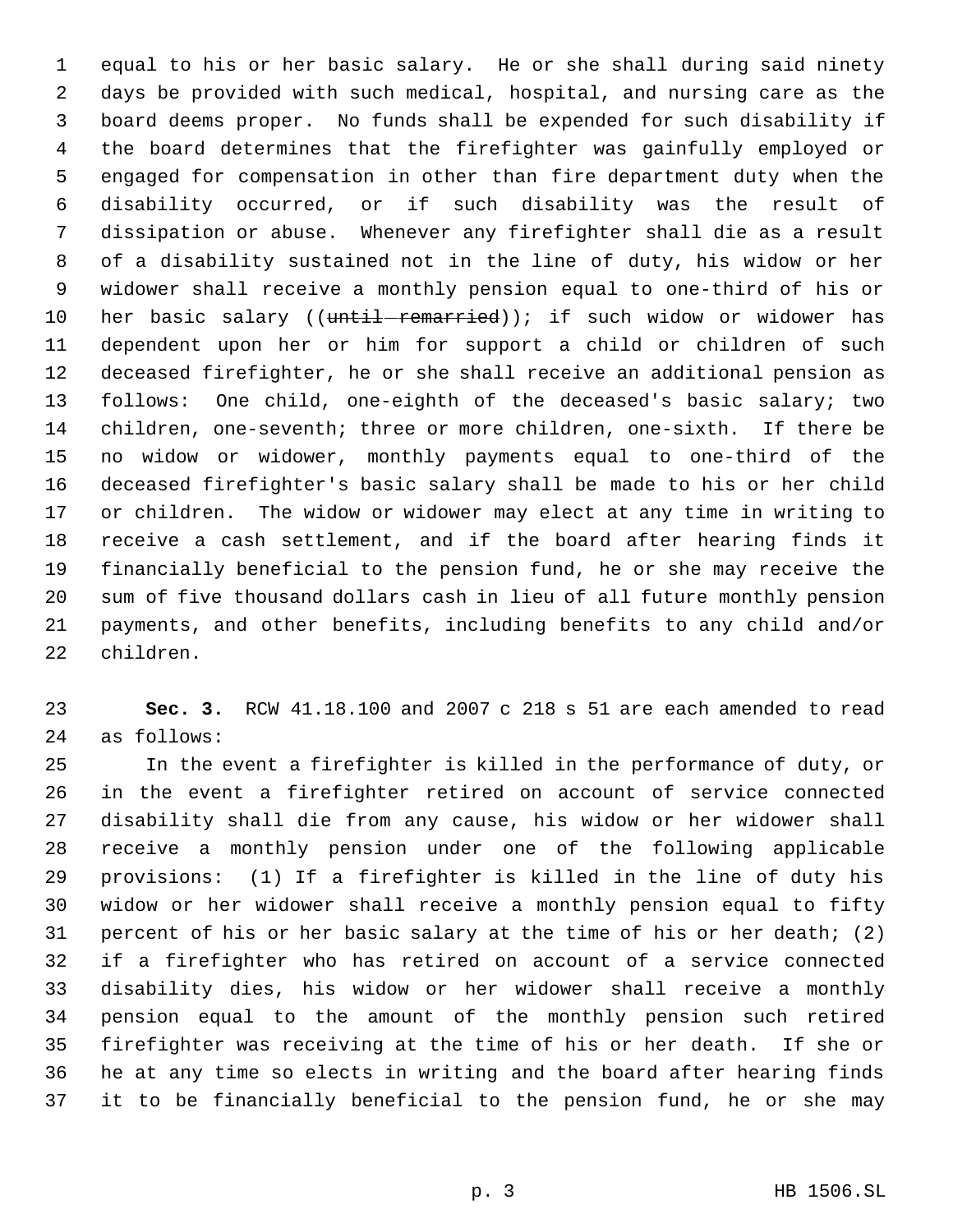equal to his or her basic salary. He or she shall during said ninety days be provided with such medical, hospital, and nursing care as the board deems proper. No funds shall be expended for such disability if the board determines that the firefighter was gainfully employed or engaged for compensation in other than fire department duty when the disability occurred, or if such disability was the result of dissipation or abuse. Whenever any firefighter shall die as a result of a disability sustained not in the line of duty, his widow or her widower shall receive a monthly pension equal to one-third of his or 10 her basic salary ((until-remarried)); if such widow or widower has dependent upon her or him for support a child or children of such deceased firefighter, he or she shall receive an additional pension as follows: One child, one-eighth of the deceased's basic salary; two children, one-seventh; three or more children, one-sixth. If there be no widow or widower, monthly payments equal to one-third of the deceased firefighter's basic salary shall be made to his or her child or children. The widow or widower may elect at any time in writing to receive a cash settlement, and if the board after hearing finds it financially beneficial to the pension fund, he or she may receive the sum of five thousand dollars cash in lieu of all future monthly pension payments, and other benefits, including benefits to any child and/or children.

 **Sec. 3.** RCW 41.18.100 and 2007 c 218 s 51 are each amended to read as follows:

 In the event a firefighter is killed in the performance of duty, or in the event a firefighter retired on account of service connected disability shall die from any cause, his widow or her widower shall receive a monthly pension under one of the following applicable provisions: (1) If a firefighter is killed in the line of duty his widow or her widower shall receive a monthly pension equal to fifty percent of his or her basic salary at the time of his or her death; (2) if a firefighter who has retired on account of a service connected disability dies, his widow or her widower shall receive a monthly pension equal to the amount of the monthly pension such retired firefighter was receiving at the time of his or her death. If she or he at any time so elects in writing and the board after hearing finds it to be financially beneficial to the pension fund, he or she may